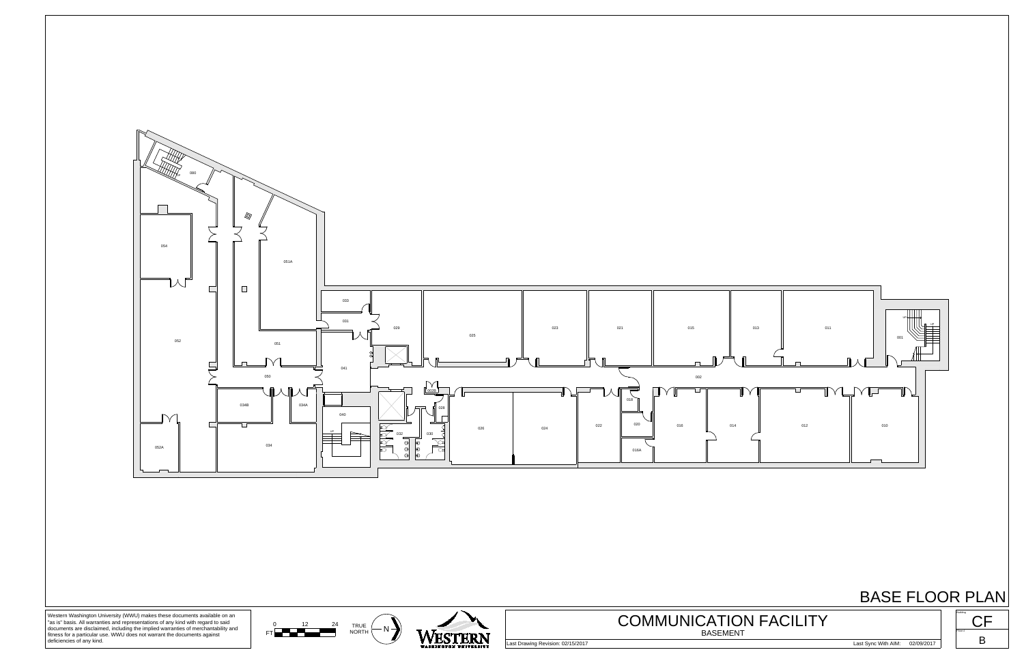

## BASE FLOOR PLAN





Western Washington University (WWU) makes these documents available on an "as is" basis. All warranties and representations of any kind with regard to said documents are disclaimed, including the implied warranties of merchantability and fitness for a particular use. WWU does not warrant the documents against deficiencies of any kind.

Last Drawing Revision: 02/15/2017 Last Sync With AIM: 02/09/2017





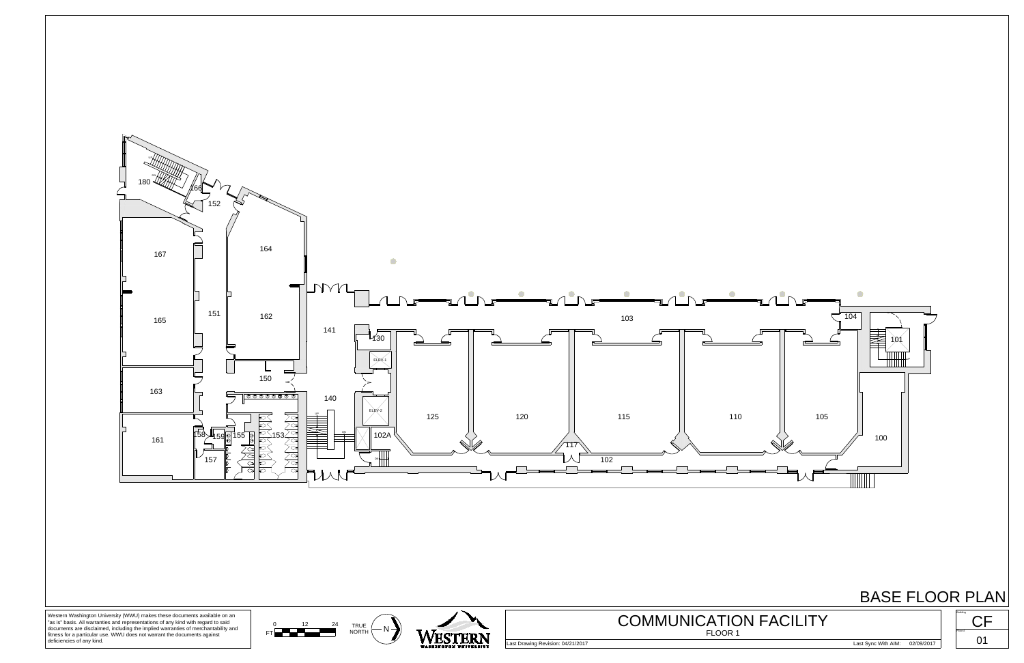





■101

 $\bullet$ 



Western Washington University (WWU) makes these documents available on an "as is" basis. All warranties and representations of any kind with regard to said documents are disclaimed, including the implied warranties of merchantability and fitness for a particular use. WWU does not warrant the documents against deficiencies of any kind.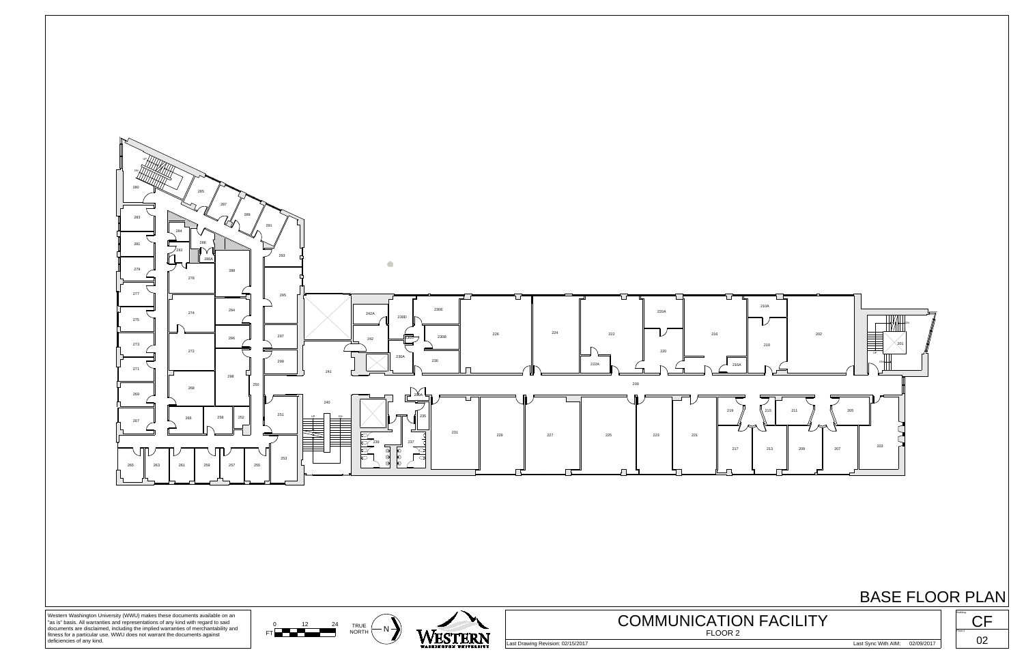





Western Washington University (WWU) makes these documents available on an "as is" basis. All warranties and representations of any kind with regard to said documents are disclaimed, including the implied warranties of merchantability and fitness for a particular use. WWU does not warrant the documents against deficiencies of any kind.

BASE FLOOR PLAN Building CF Floor # Last Drawing Revision: 02/15/2017 Last Sync With AIM: 02/09/2017 COMMUNICATION FACILITY 

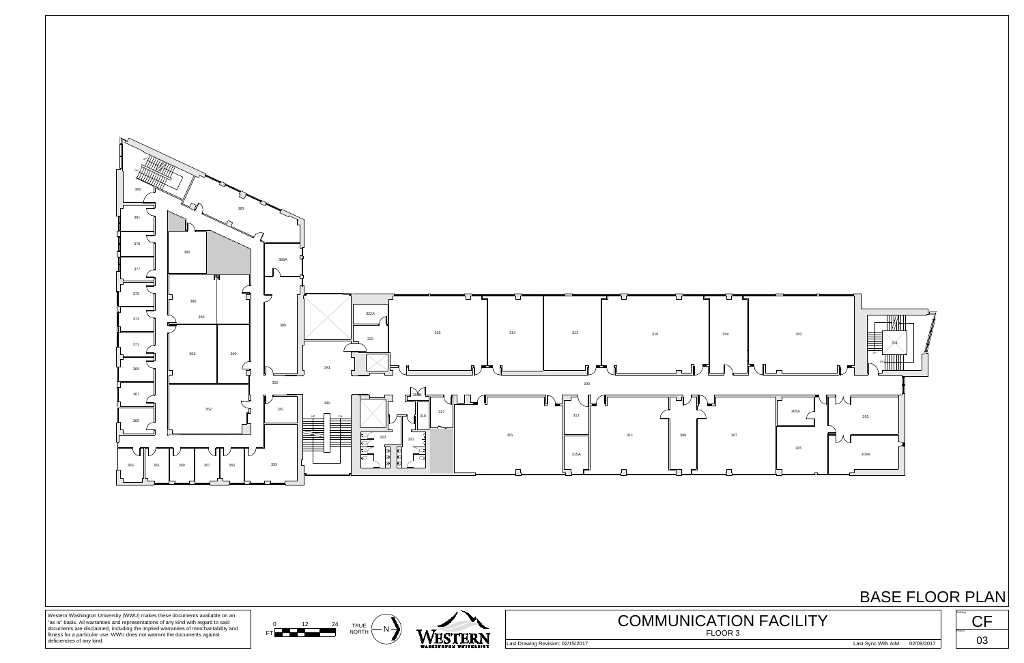

## BASE FLOOR PLAN





Western Washington University (WWU) makes these documents available on an "as is" basis. All warranties and representations of any kind with regard to said documents are disclaimed, including the implied warranties of merchantability and fitness for a particular use. WWU does not warrant the documents against deficiencies of any kind.

Last Drawing Revision: 02/15/2017 Last Sync With AIM: 02/09/2017



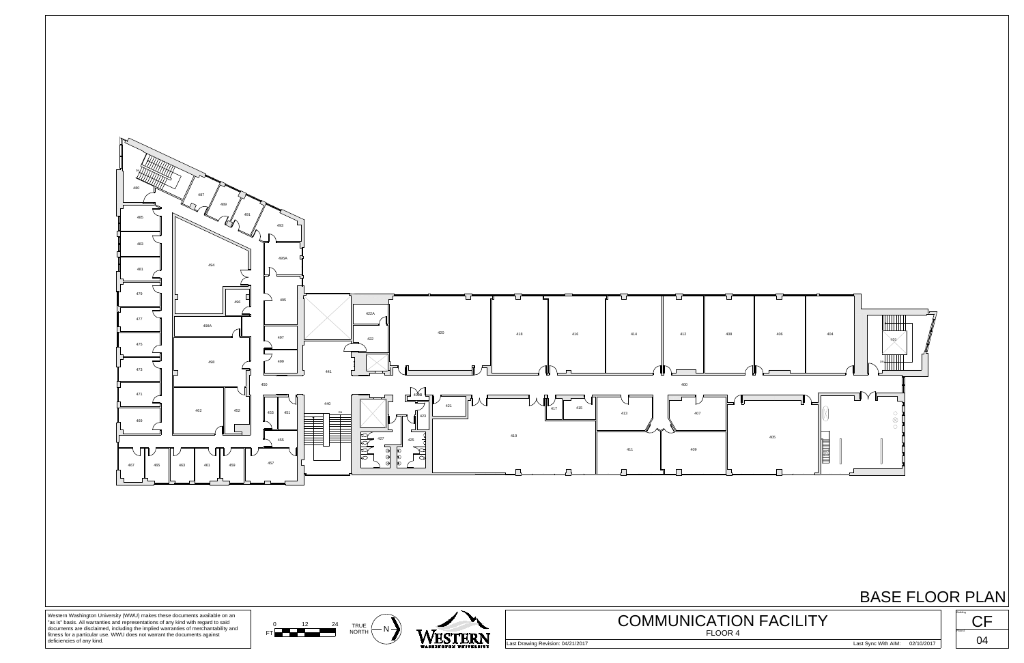





Western Washington University (WWU) makes these documents available on an "as is" basis. All warranties and representations of any kind with regard to said documents are disclaimed, including the implied warranties of merchantability and fitness for a particular use. WWU does not warrant the documents against deficiencies of any kind.